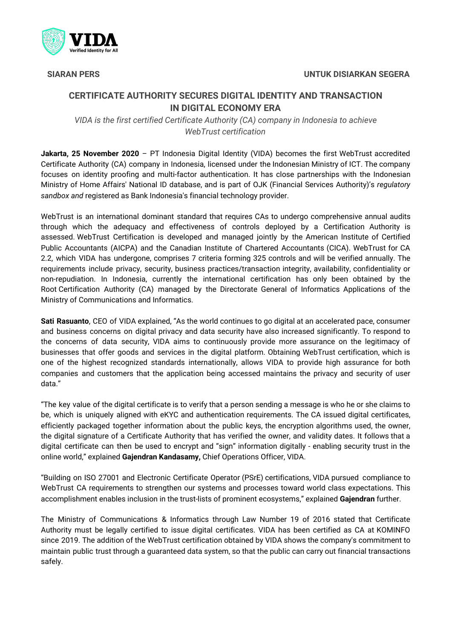

# **CERTIFICATE AUTHORITY SECURES DIGITAL IDENTITY AND TRANSACTION IN DIGITAL ECONOMY ERA**

*VIDA is the first certified Certificate Authority (CA) company in Indonesia to achieve WebTrust certification*

**Jakarta, 25 November 2020** – PT Indonesia Digital Identity (VIDA) becomes the first WebTrust accredited Certificate Authority (CA) company in Indonesia, licensed under the Indonesian Ministry of ICT. The company focuses on identity proofing and multi-factor authentication. It has close partnerships with the Indonesian Ministry of Home Affairs' National ID database, and is part of OJK (Financial Services Authority)'s *regulatory sandbox and* registered as Bank Indonesia's financial technology provider.

WebTrust is an international dominant standard that requires CAs to undergo comprehensive annual audits through which the adequacy and effectiveness of controls deployed by a Certification Authority is assessed. WebTrust Certification is developed and managed jointly by the American Institute of Certified Public Accountants (AICPA) and the Canadian Institute of Chartered Accountants (CICA). WebTrust for CA 2.2, which VIDA has undergone, comprises 7 criteria forming 325 controls and will be verified annually. The requirements include privacy, security, business practices/transaction integrity, availability, confidentiality or non-repudiation. In Indonesia, currently the international certification has only been obtained by the Root Certification Authority (CA) managed by the Directorate General of Informatics Applications of the Ministry of Communications and Informatics.

**Sati Rasuanto**, CEO of VIDA explained, "As the world continues to go digital at an accelerated pace, consumer and business concerns on digital privacy and data security have also increased significantly. To respond to the concerns of data security, VIDA aims to continuously provide more assurance on the legitimacy of businesses that offer goods and services in the digital platform. Obtaining WebTrust certification, which is one of the highest recognized standards internationally, allows VIDA to provide high assurance for both companies and customers that the application being accessed maintains the privacy and security of user data."

"The key value of the digital certificate is to verify that a person sending a message is who he or she claims to be, which is uniquely aligned with eKYC and authentication requirements. The CA issued digital certificates, efficiently packaged together information about the public keys, the encryption algorithms used, the owner, the digital signature of a Certificate Authority that has verified the owner, and validity dates. It follows that a digital certificate can then be used to encrypt and "sign" information digitally - enabling security trust in the online world," explained **Gajendran Kandasamy,** Chief Operations Officer, VIDA.

"Building on ISO 27001 and Electronic Certificate Operator (PSrE) certifications, VIDA pursued compliance to WebTrust CA requirements to strengthen our systems and processes toward world class expectations. This accomplishment enables inclusion in the trust-lists of prominent ecosystems," explained **Gajendran** further.

The Ministry of Communications & Informatics through Law Number 19 of 2016 stated that Certificate Authority must be legally certified to issue digital certificates. VIDA has been certified as CA at KOMINFO since 2019. The addition of the WebTrust certification obtained by VIDA shows the company's commitment to maintain public trust through a guaranteed data system, so that the public can carry out financial transactions safely.